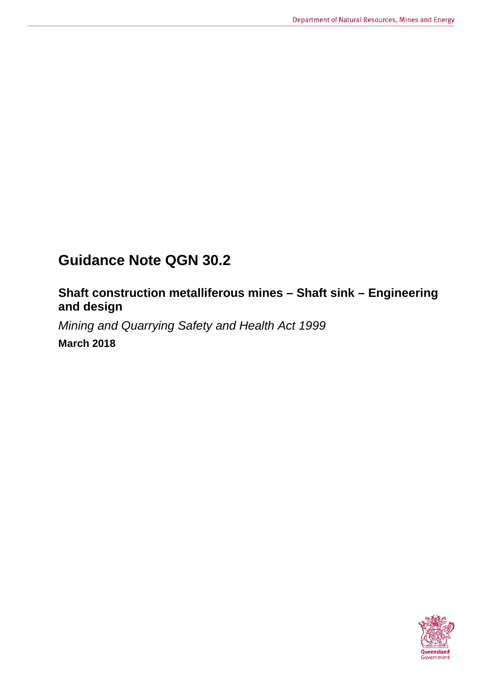# **Guidance Note QGN 30.2**

## **Shaft construction metalliferous mines – Shaft sink – Engineering and design**

*Mining and Quarrying Safety and Health Act 1999*

**March 2018**

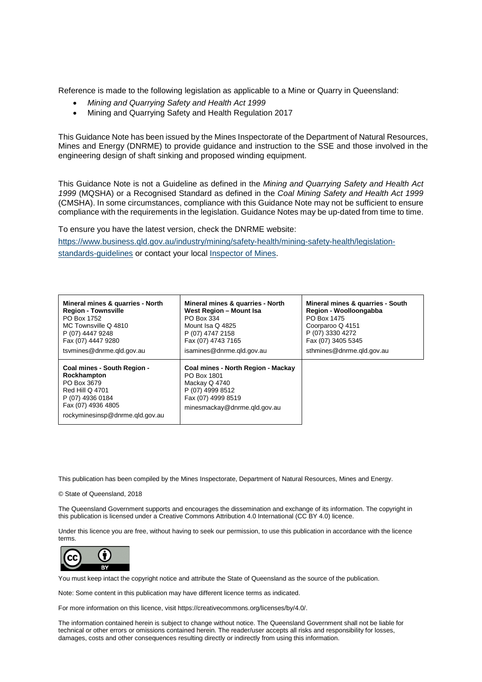Reference is made to the following legislation as applicable to a Mine or Quarry in Queensland:

- *Mining and Quarrying Safety and Health Act 1999*
- Mining and Quarrying Safety and Health Regulation 2017

This Guidance Note has been issued by the Mines Inspectorate of the Department of Natural Resources, Mines and Energy (DNRME) to provide guidance and instruction to the SSE and those involved in the engineering design of shaft sinking and proposed winding equipment.

This Guidance Note is not a Guideline as defined in the *Mining and Quarrying Safety and Health Act 1999* (MQSHA) or a Recognised Standard as defined in the *Coal Mining Safety and Health Act 1999*  (CMSHA). In some circumstances, compliance with this Guidance Note may not be sufficient to ensure compliance with the requirements in the legislation. Guidance Notes may be up-dated from time to time.

To ensure you have the latest version, check the DNRME website:

[https://www.business.qld.gov.au/industry/mining/safety-health/mining-safety-health/legislation](https://www.business.qld.gov.au/industry/mining/safety-health/mining-safety-health/legislation-standards-guidelines)[standards-guidelines](https://www.business.qld.gov.au/industry/mining/safety-health/mining-safety-health/legislation-standards-guidelines) or contact your local [Inspector of Mines.](https://www.dnrm.qld.gov.au/our-department/contact-us/mines-inspectorate-contacts)

| Mineral mines & quarries - North                                                                                                                                 | Mineral mines & quarries - North                                                                                                             | Mineral mines & quarries - South |
|------------------------------------------------------------------------------------------------------------------------------------------------------------------|----------------------------------------------------------------------------------------------------------------------------------------------|----------------------------------|
| <b>Region - Townsville</b>                                                                                                                                       | West Region - Mount Isa                                                                                                                      | Region - Woolloongabba           |
| PO Box 1752                                                                                                                                                      | PO Box 334                                                                                                                                   | PO Box 1475                      |
| MC Townsville Q 4810                                                                                                                                             | Mount Isa Q 4825                                                                                                                             | Coorparoo Q 4151                 |
| P (07) 4447 9248                                                                                                                                                 | P (07) 4747 2158                                                                                                                             | P (07) 3330 4272                 |
| Fax (07) 4447 9280                                                                                                                                               | Fax (07) 4743 7165                                                                                                                           | Fax (07) 3405 5345               |
| tsymines@dnrme.gld.gov.au                                                                                                                                        | isamines@dnrme.gld.gov.au                                                                                                                    | sthmines@dnrme.gld.gov.au        |
| Coal mines - South Region -<br>Rockhampton<br>PO Box 3679<br><b>Red Hill Q 4701</b><br>P (07) 4936 0184<br>Fax (07) 4936 4805<br>rockyminesinsp@dnrme.gld.gov.au | Coal mines - North Region - Mackay<br>PO Box 1801<br>Mackay Q 4740<br>P (07) 4999 8512<br>Fax (07) 4999 8519<br>minesmackay@dnrme.gld.gov.au |                                  |

This publication has been compiled by the Mines Inspectorate, Department of Natural Resources, Mines and Energy.

© State of Queensland, 2018

The Queensland Government supports and encourages the dissemination and exchange of its information. The copyright in this publication is licensed under a Creative Commons Attribution 4.0 International (CC BY 4.0) licence.

Under this licence you are free, without having to seek our permission, to use this publication in accordance with the licence terms.



You must keep intact the copyright notice and attribute the State of Queensland as the source of the publication.

Note: Some content in this publication may have different licence terms as indicated.

For more information on this licence, visit https://creativecommons.org/licenses/by/4.0/.

The information contained herein is subject to change without notice. The Queensland Government shall not be liable for technical or other errors or omissions contained herein. The reader/user accepts all risks and responsibility for losses, damages, costs and other consequences resulting directly or indirectly from using this information.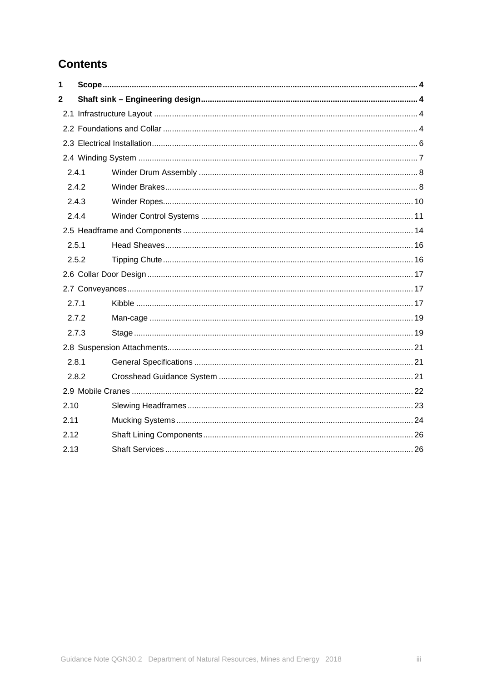## **Contents**

| 1            |       |  |  |
|--------------|-------|--|--|
| $\mathbf{2}$ |       |  |  |
|              |       |  |  |
|              |       |  |  |
|              |       |  |  |
|              |       |  |  |
| 2.4.1        |       |  |  |
|              | 2.4.2 |  |  |
|              | 2.4.3 |  |  |
| 2.4.4        |       |  |  |
|              |       |  |  |
| 2.5.1        |       |  |  |
|              | 2.5.2 |  |  |
|              |       |  |  |
|              |       |  |  |
| 2.7.1        |       |  |  |
|              | 2.7.2 |  |  |
|              | 2.7.3 |  |  |
|              |       |  |  |
| 2.8.1        |       |  |  |
|              | 2.8.2 |  |  |
|              |       |  |  |
| 2.10         |       |  |  |
| 2.11         |       |  |  |
| 2.12         |       |  |  |
| 2.13         |       |  |  |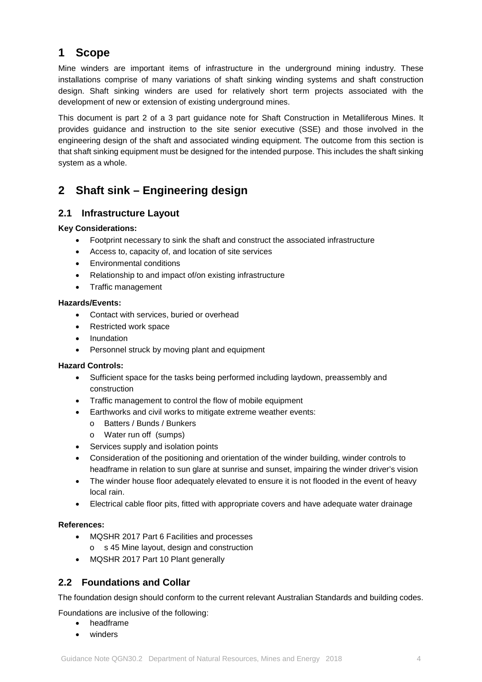## <span id="page-3-0"></span>**1 Scope**

Mine winders are important items of infrastructure in the underground mining industry. These installations comprise of many variations of shaft sinking winding systems and shaft construction design. Shaft sinking winders are used for relatively short term projects associated with the development of new or extension of existing underground mines.

This document is part 2 of a 3 part guidance note for Shaft Construction in Metalliferous Mines. It provides guidance and instruction to the site senior executive (SSE) and those involved in the engineering design of the shaft and associated winding equipment. The outcome from this section is that shaft sinking equipment must be designed for the intended purpose. This includes the shaft sinking system as a whole.

## <span id="page-3-1"></span>**2 Shaft sink – Engineering design**

### <span id="page-3-2"></span>**2.1 Infrastructure Layout**

### **Key Considerations:**

- Footprint necessary to sink the shaft and construct the associated infrastructure
- Access to, capacity of, and location of site services
- Environmental conditions
- Relationship to and impact of/on existing infrastructure
- Traffic management

### **Hazards/Events:**

- Contact with services, buried or overhead
- Restricted work space
- Inundation
- Personnel struck by moving plant and equipment

### **Hazard Controls:**

- Sufficient space for the tasks being performed including laydown, preassembly and construction
- Traffic management to control the flow of mobile equipment
- Earthworks and civil works to mitigate extreme weather events:
	- o Batters / Bunds / Bunkers
	- o Water run off (sumps)
- Services supply and isolation points
- Consideration of the positioning and orientation of the winder building, winder controls to headframe in relation to sun glare at sunrise and sunset, impairing the winder driver's vision
- The winder house floor adequately elevated to ensure it is not flooded in the event of heavy local rain.
- Electrical cable floor pits, fitted with appropriate covers and have adequate water drainage

### **References:**

- MQSHR 2017 Part 6 Facilities and processes
	- o s 45 Mine layout, design and construction
- MQSHR 2017 Part 10 Plant generally

### <span id="page-3-3"></span>**2.2 Foundations and Collar**

The foundation design should conform to the current relevant Australian Standards and building codes.

Foundations are inclusive of the following:

- headframe
- winders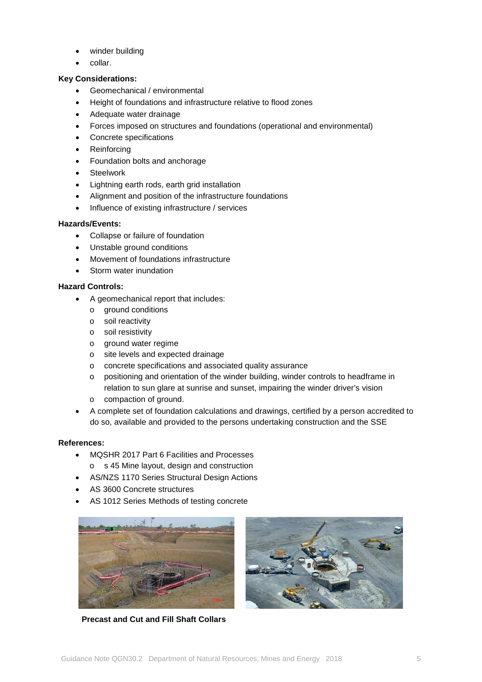- winder building
- collar.

### **Key Considerations:**

- Geomechanical / environmental
- Height of foundations and infrastructure relative to flood zones
- Adequate water drainage
- Forces imposed on structures and foundations (operational and environmental)
- Concrete specifications
- **Reinforcing**
- Foundation bolts and anchorage
- **Steelwork**
- Lightning earth rods, earth grid installation
- Alignment and position of the infrastructure foundations
- Influence of existing infrastructure / services

### **Hazards/Events:**

- Collapse or failure of foundation
- Unstable ground conditions
- Movement of foundations infrastructure
- Storm water inundation

### **Hazard Controls:**

- A geomechanical report that includes:
	- o ground conditions
	- o soil reactivity
	- o soil resistivity
	- o ground water regime
	- o site levels and expected drainage
	- o concrete specifications and associated quality assurance
	- o positioning and orientation of the winder building, winder controls to headframe in relation to sun glare at sunrise and sunset, impairing the winder driver's vision
	- o compaction of ground.
- A complete set of foundation calculations and drawings, certified by a person accredited to do so, available and provided to the persons undertaking construction and the SSE

- MQSHR 2017 Part 6 Facilities and Processes o s 45 Mine layout, design and construction
- AS/NZS 1170 Series Structural Design Actions
- AS 3600 Concrete structures
- AS 1012 Series Methods of testing concrete





**Precast and Cut and Fill Shaft Collars**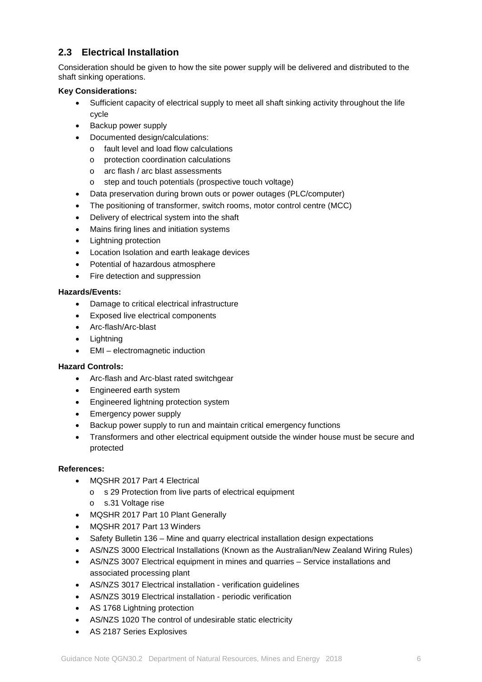### <span id="page-5-0"></span>**2.3 Electrical Installation**

Consideration should be given to how the site power supply will be delivered and distributed to the shaft sinking operations.

### **Key Considerations:**

- Sufficient capacity of electrical supply to meet all shaft sinking activity throughout the life cycle
- Backup power supply
- Documented design/calculations:
	- o fault level and load flow calculations
	- o protection coordination calculations
	- o arc flash / arc blast assessments
	- o step and touch potentials (prospective touch voltage)
- Data preservation during brown outs or power outages (PLC/computer)
- The positioning of transformer, switch rooms, motor control centre (MCC)
- Delivery of electrical system into the shaft
- Mains firing lines and initiation systems
- Lightning protection
- Location Isolation and earth leakage devices
- Potential of hazardous atmosphere
- Fire detection and suppression

### **Hazards/Events:**

- Damage to critical electrical infrastructure
- Exposed live electrical components
- Arc-flash/Arc-blast
- Lightning
- EMI electromagnetic induction

### **Hazard Controls:**

- Arc-flash and Arc-blast rated switchgear
- Engineered earth system
- Engineered lightning protection system
- Emergency power supply
- Backup power supply to run and maintain critical emergency functions
- Transformers and other electrical equipment outside the winder house must be secure and protected

- MOSHR 2017 Part 4 Electrical
	- o s 29 Protection from live parts of electrical equipment
	- o s.31 Voltage rise
- MQSHR 2017 Part 10 Plant Generally
- MQSHR 2017 Part 13 Winders
- Safety Bulletin 136 Mine and quarry electrical installation design expectations
- AS/NZS 3000 Electrical Installations (Known as the Australian/New Zealand Wiring Rules)
- AS/NZS 3007 Electrical equipment in mines and quarries Service installations and associated processing plant
- AS/NZS 3017 Electrical installation verification guidelines
- AS/NZS 3019 Electrical installation periodic verification
- AS 1768 Lightning protection
- AS/NZS 1020 The control of undesirable static electricity
- AS 2187 Series Explosives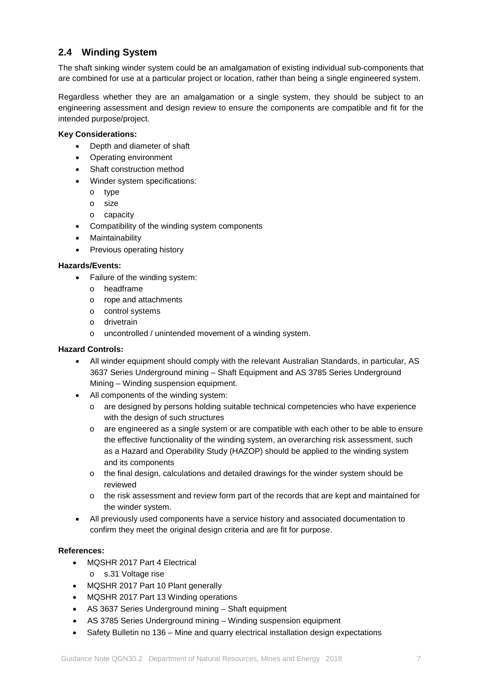### <span id="page-6-0"></span>**2.4 Winding System**

The shaft sinking winder system could be an amalgamation of existing individual sub-components that are combined for use at a particular project or location, rather than being a single engineered system.

Regardless whether they are an amalgamation or a single system, they should be subject to an engineering assessment and design review to ensure the components are compatible and fit for the intended purpose/project.

### **Key Considerations:**

- Depth and diameter of shaft
- Operating environment
- Shaft construction method
- Winder system specifications:
	- o type
	- o size
	- o capacity
- Compatibility of the winding system components
- **Maintainability**
- Previous operating history

### **Hazards/Events:**

- Failure of the winding system:
	- o headframe
	- o rope and attachments
	- o control systems
	- o drivetrain
	- o uncontrolled / unintended movement of a winding system.

### **Hazard Controls:**

- All winder equipment should comply with the relevant Australian Standards, in particular, AS 3637 Series Underground mining – Shaft Equipment and AS 3785 Series Underground Mining – Winding suspension equipment.
- All components of the winding system:
	- o are designed by persons holding suitable technical competencies who have experience with the design of such structures
	- o are engineered as a single system or are compatible with each other to be able to ensure the effective functionality of the winding system, an overarching risk assessment, such as a Hazard and Operability Study (HAZOP) should be applied to the winding system and its components
	- o the final design, calculations and detailed drawings for the winder system should be reviewed
	- o the risk assessment and review form part of the records that are kept and maintained for the winder system.
- All previously used components have a service history and associated documentation to confirm they meet the original design criteria and are fit for purpose.

- MQSHR 2017 Part 4 Electrical
	- o s.31 Voltage rise
- MQSHR 2017 Part 10 Plant generally
- MQSHR 2017 Part 13 Winding operations
- AS 3637 Series Underground mining Shaft equipment
- AS 3785 Series Underground mining Winding suspension equipment
- Safety Bulletin no 136 Mine and quarry electrical installation design expectations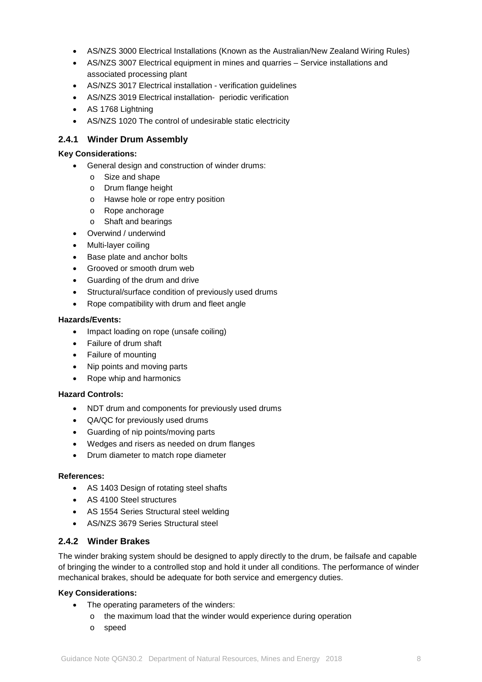- AS/NZS 3000 Electrical Installations (Known as the Australian/New Zealand Wiring Rules)
- AS/NZS 3007 Electrical equipment in mines and quarries Service installations and associated processing plant
- AS/NZS 3017 Electrical installation verification guidelines
- AS/NZS 3019 Electrical installation- periodic verification
- AS 1768 Lightning
- AS/NZS 1020 The control of undesirable static electricity

### <span id="page-7-0"></span>**2.4.1 Winder Drum Assembly**

#### **Key Considerations:**

- General design and construction of winder drums:
	- o Size and shape
	- o Drum flange height
	- o Hawse hole or rope entry position
	- o Rope anchorage
	- o Shaft and bearings
- Overwind / underwind
- Multi-layer coiling
- Base plate and anchor bolts
- Grooved or smooth drum web
- Guarding of the drum and drive
- Structural/surface condition of previously used drums
- Rope compatibility with drum and fleet angle

#### **Hazards/Events:**

- Impact loading on rope (unsafe coiling)
- Failure of drum shaft
- Failure of mounting
- Nip points and moving parts
- Rope whip and harmonics

### **Hazard Controls:**

- NDT drum and components for previously used drums
- QA/QC for previously used drums
- Guarding of nip points/moving parts
- Wedges and risers as needed on drum flanges
- Drum diameter to match rope diameter

### **References:**

- AS 1403 Design of rotating steel shafts
- AS 4100 Steel structures
- AS 1554 Series Structural steel welding
- AS/NZS 3679 Series Structural steel

### <span id="page-7-1"></span>**2.4.2 Winder Brakes**

The winder braking system should be designed to apply directly to the drum, be failsafe and capable of bringing the winder to a controlled stop and hold it under all conditions. The performance of winder mechanical brakes, should be adequate for both service and emergency duties.

### **Key Considerations:**

- The operating parameters of the winders:
	- o the maximum load that the winder would experience during operation
	- o speed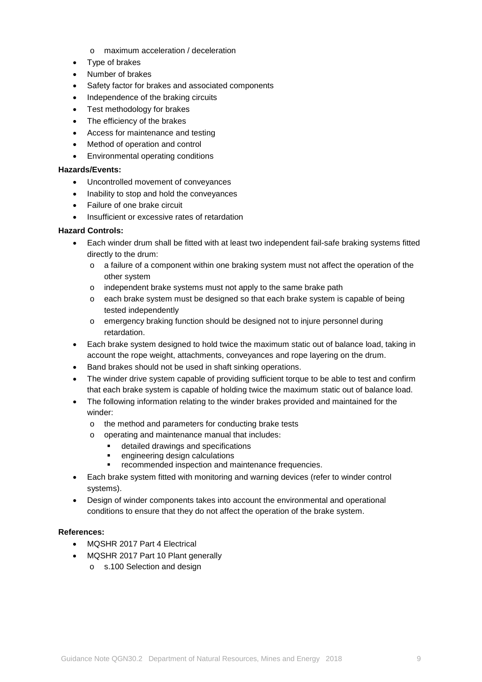- o maximum acceleration / deceleration
- Type of brakes
- Number of brakes
- Safety factor for brakes and associated components
- Independence of the braking circuits
- Test methodology for brakes
- The efficiency of the brakes
- Access for maintenance and testing
- Method of operation and control
- Environmental operating conditions

- Uncontrolled movement of conveyances
- Inability to stop and hold the conveyances
- Failure of one brake circuit
- Insufficient or excessive rates of retardation

### **Hazard Controls:**

- Each winder drum shall be fitted with at least two independent fail-safe braking systems fitted directly to the drum:
	- o a failure of a component within one braking system must not affect the operation of the other system
	- o independent brake systems must not apply to the same brake path
	- o each brake system must be designed so that each brake system is capable of being tested independently
	- o emergency braking function should be designed not to injure personnel during retardation.
- Each brake system designed to hold twice the maximum static out of balance load, taking in account the rope weight, attachments, conveyances and rope layering on the drum.
- Band brakes should not be used in shaft sinking operations.
- The winder drive system capable of providing sufficient torque to be able to test and confirm that each brake system is capable of holding twice the maximum static out of balance load.
- The following information relating to the winder brakes provided and maintained for the winder:
	- o the method and parameters for conducting brake tests
	- o operating and maintenance manual that includes:
		- detailed drawings and specifications
		- engineering design calculations
		- recommended inspection and maintenance frequencies.
- Each brake system fitted with monitoring and warning devices (refer to winder control systems).
- Design of winder components takes into account the environmental and operational conditions to ensure that they do not affect the operation of the brake system.

- MOSHR 2017 Part 4 Electrical
- MQSHR 2017 Part 10 Plant generally
	- o s.100 Selection and design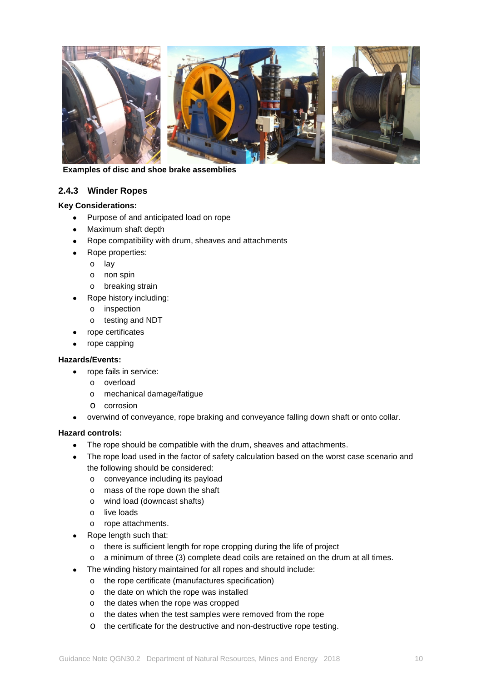

 **Examples of disc and shoe brake assemblies**

### <span id="page-9-0"></span>**2.4.3 Winder Ropes**

### **Key Considerations:**

- Purpose of and anticipated load on rope
- Maximum shaft depth
- Rope compatibility with drum, sheaves and attachments
- Rope properties:
	- o lay
	- o non spin
	- o breaking strain
- Rope history including:
	- o inspection
	- o testing and NDT
- rope certificates
- rope capping

### **Hazards/Events:**

- rope fails in service:
	- o overload
	- o mechanical damage/fatigue
	- o corrosion
- overwind of conveyance, rope braking and conveyance falling down shaft or onto collar.

### **Hazard controls:**

- The rope should be compatible with the drum, sheaves and attachments.
- The rope load used in the factor of safety calculation based on the worst case scenario and the following should be considered:
	- o conveyance including its payload
	- o mass of the rope down the shaft
	- o wind load (downcast shafts)
	- o live loads
	- o rope attachments.
	- Rope length such that:
		- o there is sufficient length for rope cropping during the life of project
		- o a minimum of three (3) complete dead coils are retained on the drum at all times.
- The winding history maintained for all ropes and should include:
	- o the rope certificate (manufactures specification)
	- o the date on which the rope was installed
	- o the dates when the rope was cropped
	- o the dates when the test samples were removed from the rope
	- o the certificate for the destructive and non-destructive rope testing.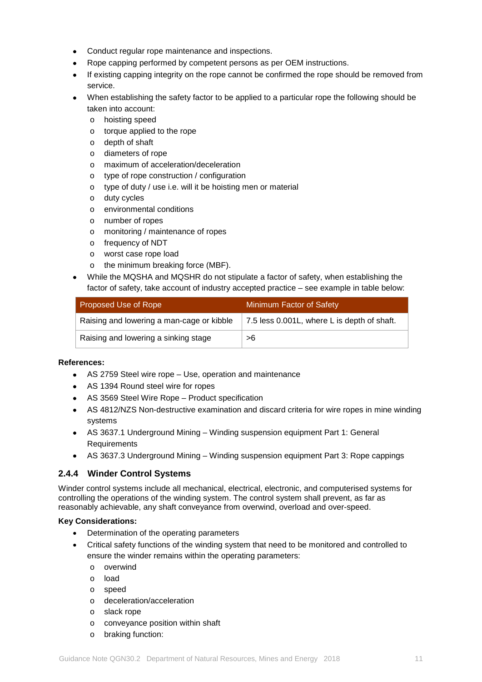- Conduct regular rope maintenance and inspections.
- Rope capping performed by competent persons as per OEM instructions.
- If existing capping integrity on the rope cannot be confirmed the rope should be removed from service.
- When establishing the safety factor to be applied to a particular rope the following should be taken into account:
	- o hoisting speed
	- o torque applied to the rope
	- o depth of shaft
	- o diameters of rope
	- o maximum of acceleration/deceleration
	- o type of rope construction / configuration
	- o type of duty / use i.e. will it be hoisting men or material
	- o duty cycles
	- o environmental conditions
	- o number of ropes
	- o monitoring / maintenance of ropes
	- o frequency of NDT
	- o worst case rope load
	- o the minimum breaking force (MBF).
- While the MQSHA and MQSHR do not stipulate a factor of safety, when establishing the factor of safety, take account of industry accepted practice – see example in table below:

| Proposed Use of Rope                      | Minimum Factor of Safety                    |
|-------------------------------------------|---------------------------------------------|
| Raising and lowering a man-cage or kibble | 7.5 less 0.001L, where L is depth of shaft. |
| Raising and lowering a sinking stage      | >6                                          |

### **References:**

- AS 2759 Steel wire rope Use, operation and maintenance
- AS 1394 Round steel wire for ropes
- AS 3569 Steel Wire Rope Product specification
- AS 4812/NZS Non-destructive examination and discard criteria for wire ropes in mine winding systems
- AS 3637.1 Underground Mining Winding suspension equipment Part 1: General **Requirements**
- AS 3637.3 Underground Mining Winding suspension equipment Part 3: Rope cappings

### <span id="page-10-0"></span>**2.4.4 Winder Control Systems**

Winder control systems include all mechanical, electrical, electronic, and computerised systems for controlling the operations of the winding system. The control system shall prevent, as far as reasonably achievable, any shaft conveyance from overwind, overload and over-speed.

### **Key Considerations:**

- Determination of the operating parameters
- Critical safety functions of the winding system that need to be monitored and controlled to ensure the winder remains within the operating parameters:
	- o overwind
	- o load
	- o speed
	- o deceleration/acceleration
	- o slack rope
	- o conveyance position within shaft
	- o braking function: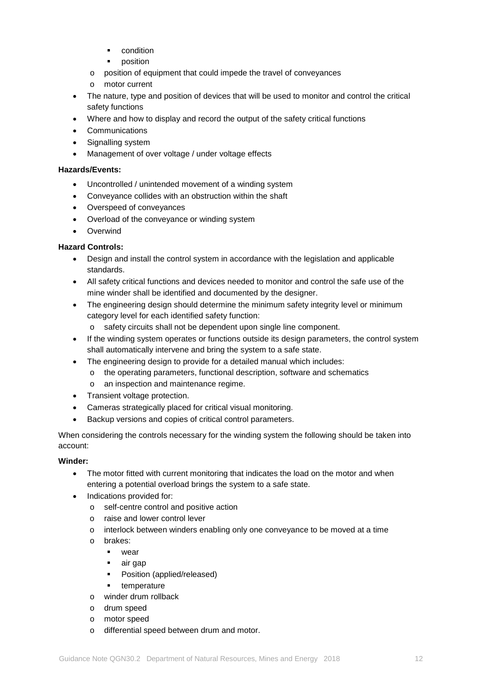- condition
- position
- o position of equipment that could impede the travel of conveyances
- o motor current
- The nature, type and position of devices that will be used to monitor and control the critical safety functions
- Where and how to display and record the output of the safety critical functions
- Communications
- Signalling system
- Management of over voltage / under voltage effects

- Uncontrolled / unintended movement of a winding system
- Conveyance collides with an obstruction within the shaft
- Overspeed of conveyances
- Overload of the conveyance or winding system
- Overwind

### **Hazard Controls:**

- Design and install the control system in accordance with the legislation and applicable standards.
- All safety critical functions and devices needed to monitor and control the safe use of the mine winder shall be identified and documented by the designer.
- The engineering design should determine the minimum safety integrity level or minimum category level for each identified safety function:
	- o safety circuits shall not be dependent upon single line component.
- If the winding system operates or functions outside its design parameters, the control system shall automatically intervene and bring the system to a safe state.
- The engineering design to provide for a detailed manual which includes:
	- o the operating parameters, functional description, software and schematics
	- o an inspection and maintenance regime.
- Transient voltage protection.
- Cameras strategically placed for critical visual monitoring.
- Backup versions and copies of critical control parameters.

When considering the controls necessary for the winding system the following should be taken into account:

### **Winder:**

- The motor fitted with current monitoring that indicates the load on the motor and when entering a potential overload brings the system to a safe state.
- Indications provided for:
	- o self-centre control and positive action
	- o raise and lower control lever
	- o interlock between winders enabling only one conveyance to be moved at a time
	- o brakes:
		- wear
		- air gap
		- **•** Position (applied/released)
		- **temperature**
	- o winder drum rollback
	- o drum speed
	- o motor speed
	- o differential speed between drum and motor.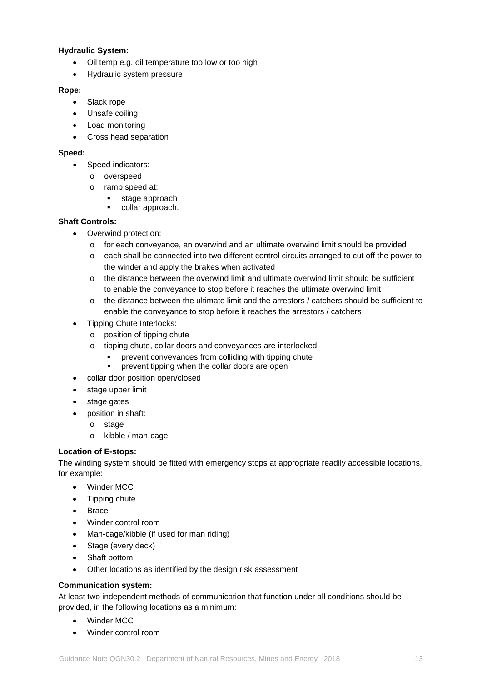### **Hydraulic System:**

- Oil temp e.g. oil temperature too low or too high
- Hydraulic system pressure

### **Rope:**

- Slack rope
- Unsafe coiling
- Load monitoring
- Cross head separation

### **Speed:**

- Speed indicators:
	- o overspeed
	- o ramp speed at:
		- stage approach
		- collar approach.

### **Shaft Controls:**

- Overwind protection:
	- o for each conveyance, an overwind and an ultimate overwind limit should be provided
	- o each shall be connected into two different control circuits arranged to cut off the power to the winder and apply the brakes when activated
	- o the distance between the overwind limit and ultimate overwind limit should be sufficient to enable the conveyance to stop before it reaches the ultimate overwind limit
	- $\circ$  the distance between the ultimate limit and the arrestors / catchers should be sufficient to enable the conveyance to stop before it reaches the arrestors / catchers
- Tipping Chute Interlocks:
	- o position of tipping chute
	- o tipping chute, collar doors and conveyances are interlocked:
		- prevent conveyances from colliding with tipping chute
		- **•** prevent tipping when the collar doors are open
- collar door position open/closed
- stage upper limit
- stage gates
- position in shaft:
	- o stage
	- o kibble / man-cage.

### **Location of E-stops:**

The winding system should be fitted with emergency stops at appropriate readily accessible locations, for example:

- Winder MCC
- Tipping chute
- Brace
- Winder control room
- Man-cage/kibble (if used for man riding)
- Stage (every deck)
- Shaft bottom
- Other locations as identified by the design risk assessment

### **Communication system:**

At least two independent methods of communication that function under all conditions should be provided, in the following locations as a minimum:

- Winder MCC
- Winder control room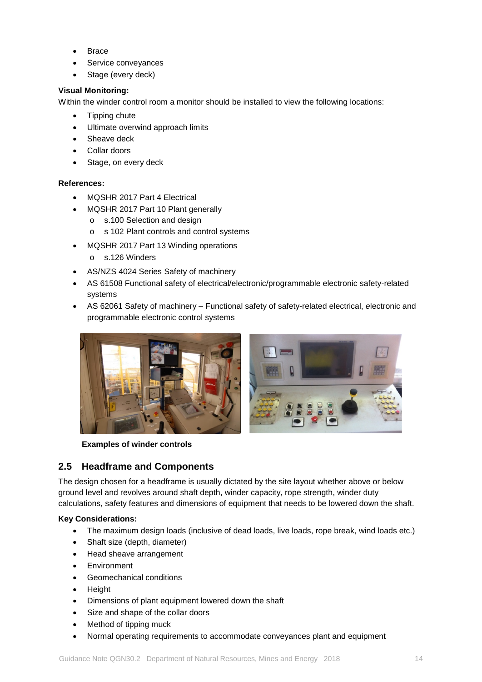- Brace
- Service conveyances
- Stage (every deck)

### **Visual Monitoring:**

Within the winder control room a monitor should be installed to view the following locations:

- Tipping chute
- Ultimate overwind approach limits
- Sheave deck
- Collar doors
- Stage, on every deck

### **References:**

- MQSHR 2017 Part 4 Electrical
- MQSHR 2017 Part 10 Plant generally
	- o s.100 Selection and design
	- o s 102 Plant controls and control systems
- MQSHR 2017 Part 13 Winding operations
	- o s.126 Winders
- AS/NZS 4024 Series Safety of machinery
- AS 61508 Functional safety of electrical/electronic/programmable electronic safety-related systems
- AS 62061 Safety of machinery Functional safety of safety-related electrical, *e*lectronic and programmable electronic control systems



**Examples of winder controls**

### <span id="page-13-0"></span>**2.5 Headframe and Components**

The design chosen for a headframe is usually dictated by the site layout whether above or below ground level and revolves around shaft depth, winder capacity, rope strength, winder duty calculations, safety features and dimensions of equipment that needs to be lowered down the shaft.

### **Key Considerations:**

- The maximum design loads (inclusive of dead loads, live loads, rope break, wind loads etc.)
- Shaft size (depth, diameter)
- Head sheave arrangement
- **Environment**
- Geomechanical conditions
- Height
- Dimensions of plant equipment lowered down the shaft
- Size and shape of the collar doors
- Method of tipping muck
- Normal operating requirements to accommodate conveyances plant and equipment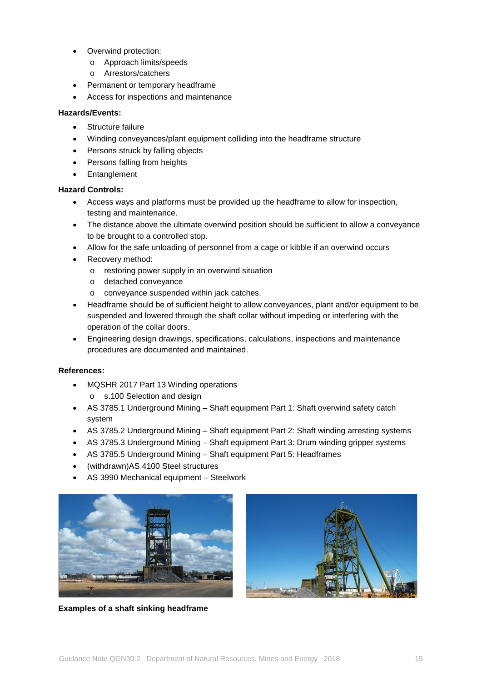- Overwind protection:
	- o Approach limits/speeds
	- o Arrestors/catchers
- Permanent or temporary headframe
- Access for inspections and maintenance

- Structure failure
- Winding conveyances/plant equipment colliding into the headframe structure
- Persons struck by falling objects
- Persons falling from heights
- Entanglement

### **Hazard Controls:**

- Access ways and platforms must be provided up the headframe to allow for inspection, testing and maintenance.
- The distance above the ultimate overwind position should be sufficient to allow a conveyance to be brought to a controlled stop.
- Allow for the safe unloading of personnel from a cage or kibble if an overwind occurs
- Recovery method:
	- o restoring power supply in an overwind situation
	- o detached conveyance
	- o conveyance suspended within jack catches.
- Headframe should be of sufficient height to allow convevances, plant and/or equipment to be suspended and lowered through the shaft collar without impeding or interfering with the operation of the collar doors.
- Engineering design drawings, specifications, calculations, inspections and maintenance procedures are documented and maintained.

- MQSHR 2017 Part 13 Winding operations o s.100 Selection and design
- AS 3785.1 Underground Mining Shaft equipment Part 1: Shaft overwind safety catch system
- AS 3785.2 Underground Mining Shaft equipment Part 2: Shaft winding arresting systems
- AS 3785.3 Underground Mining Shaft equipment Part 3: Drum winding gripper systems
- AS 3785.5 Underground Mining Shaft equipment Part 5: Headframes
- (withdrawn)AS 4100 Steel structures
- AS 3990 Mechanical equipment Steelwork



**Examples of a shaft sinking headframe**

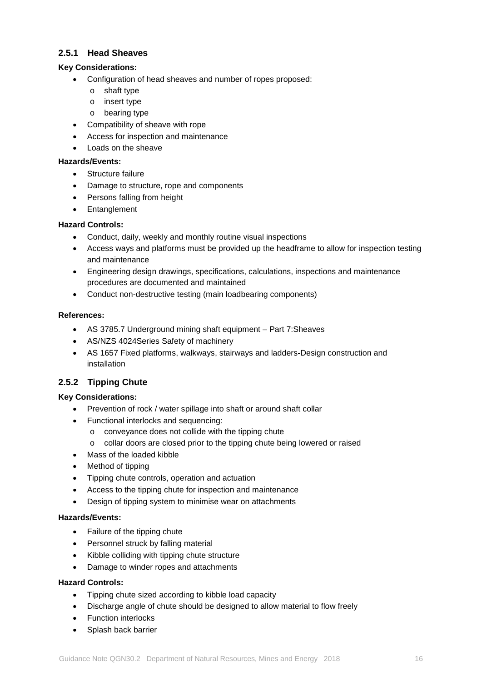### <span id="page-15-0"></span>**2.5.1 Head Sheaves**

### **Key Considerations:**

- Configuration of head sheaves and number of ropes proposed:
	- o shaft type
	- o insert type
	- o bearing type
- Compatibility of sheave with rope
- Access for inspection and maintenance
- Loads on the sheave

### **Hazards/Events:**

- Structure failure
- Damage to structure, rope and components
- Persons falling from height
- Entanglement

### **Hazard Controls:**

- Conduct, daily, weekly and monthly routine visual inspections
- Access ways and platforms must be provided up the headframe to allow for inspection testing and maintenance
- Engineering design drawings, specifications, calculations, inspections and maintenance procedures are documented and maintained
- Conduct non-destructive testing (main loadbearing components)

### **References:**

- AS 3785.7 Underground mining shaft equipment Part 7:Sheaves
- AS/NZS 4024Series Safety of machinery
- AS 1657 Fixed platforms, walkways, stairways and ladders-Design construction and installation

### <span id="page-15-1"></span>**2.5.2 Tipping Chute**

### **Key Considerations:**

- Prevention of rock / water spillage into shaft or around shaft collar
- Functional interlocks and sequencing:
	- o conveyance does not collide with the tipping chute
	- o collar doors are closed prior to the tipping chute being lowered or raised
- Mass of the loaded kibble
- Method of tipping
- Tipping chute controls, operation and actuation
- Access to the tipping chute for inspection and maintenance
- Design of tipping system to minimise wear on attachments

### **Hazards/Events:**

- Failure of the tipping chute
- Personnel struck by falling material
- Kibble colliding with tipping chute structure
- Damage to winder ropes and attachments

### **Hazard Controls:**

- Tipping chute sized according to kibble load capacity
- Discharge angle of chute should be designed to allow material to flow freely
- Function interlocks
- Splash back barrier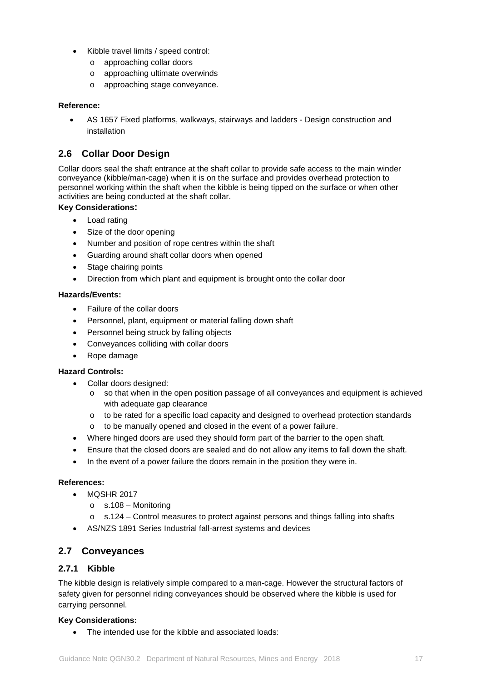- Kibble travel limits / speed control:
	- o approaching collar doors
	- o approaching ultimate overwinds
	- o approaching stage conveyance.

### **Reference:**

• AS 1657 Fixed platforms, walkways, stairways and ladders - Design construction and installation

### <span id="page-16-0"></span>**2.6 Collar Door Design**

Collar doors seal the shaft entrance at the shaft collar to provide safe access to the main winder conveyance (kibble/man-cage) when it is on the surface and provides overhead protection to personnel working within the shaft when the kibble is being tipped on the surface or when other activities are being conducted at the shaft collar.

### **Key Considerations:**

- Load rating
- Size of the door opening
- Number and position of rope centres within the shaft
- Guarding around shaft collar doors when opened
- Stage chairing points
- Direction from which plant and equipment is brought onto the collar door

### **Hazards/Events:**

- Failure of the collar doors
- Personnel, plant, equipment or material falling down shaft
- Personnel being struck by falling objects
- Conveyances colliding with collar doors
- Rope damage

### **Hazard Controls:**

- Collar doors designed:
	- o so that when in the open position passage of all conveyances and equipment is achieved with adequate gap clearance
	- o to be rated for a specific load capacity and designed to overhead protection standards
	- o to be manually opened and closed in the event of a power failure.
- Where hinged doors are used they should form part of the barrier to the open shaft.
- Ensure that the closed doors are sealed and do not allow any items to fall down the shaft.
- In the event of a power failure the doors remain in the position they were in.

### **References:**

- MOSHR 2017
	- o s.108 Monitoring
	- o s.124 Control measures to protect against persons and things falling into shafts
- AS/NZS 1891 Series Industrial fall-arrest systems and devices

### <span id="page-16-1"></span>**2.7 Conveyances**

### <span id="page-16-2"></span>**2.7.1 Kibble**

The kibble design is relatively simple compared to a man-cage. However the structural factors of safety given for personnel riding conveyances should be observed where the kibble is used for carrying personnel.

### **Key Considerations:**

• The intended use for the kibble and associated loads: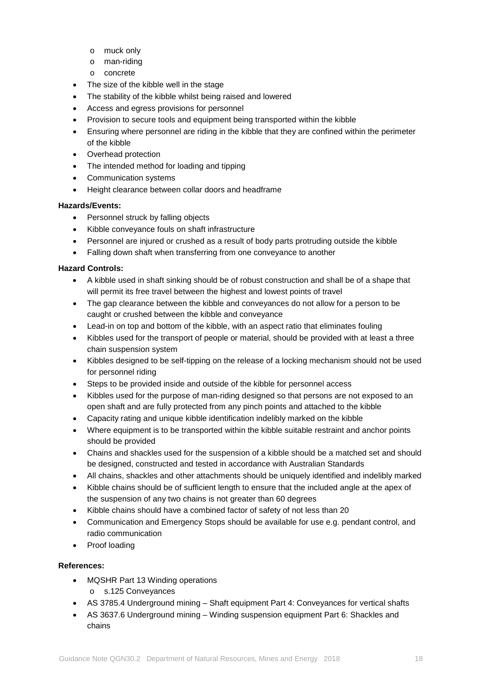- o muck only
- o man-riding
- o concrete
- The size of the kibble well in the stage
- The stability of the kibble whilst being raised and lowered
- Access and egress provisions for personnel
- Provision to secure tools and equipment being transported within the kibble
- Ensuring where personnel are riding in the kibble that they are confined within the perimeter of the kibble
- Overhead protection
- The intended method for loading and tipping
- Communication systems
- Height clearance between collar doors and headframe

- Personnel struck by falling objects
- Kibble conveyance fouls on shaft infrastructure
- Personnel are injured or crushed as a result of body parts protruding outside the kibble
- Falling down shaft when transferring from one conveyance to another

### **Hazard Controls:**

- A kibble used in shaft sinking should be of robust construction and shall be of a shape that will permit its free travel between the highest and lowest points of travel
- The gap clearance between the kibble and conveyances do not allow for a person to be caught or crushed between the kibble and conveyance
- Lead-in on top and bottom of the kibble, with an aspect ratio that eliminates fouling
- Kibbles used for the transport of people or material, should be provided with at least a three chain suspension system
- Kibbles designed to be self-tipping on the release of a locking mechanism should not be used for personnel riding
- Steps to be provided inside and outside of the kibble for personnel access
- Kibbles used for the purpose of man-riding designed so that persons are not exposed to an open shaft and are fully protected from any pinch points and attached to the kibble
- Capacity rating and unique kibble identification indelibly marked on the kibble
- Where equipment is to be transported within the kibble suitable restraint and anchor points should be provided
- Chains and shackles used for the suspension of a kibble should be a matched set and should be designed, constructed and tested in accordance with Australian Standards
- All chains, shackles and other attachments should be uniquely identified and indelibly marked
- Kibble chains should be of sufficient length to ensure that the included angle at the apex of the suspension of any two chains is not greater than 60 degrees
- Kibble chains should have a combined factor of safety of not less than 20
- Communication and Emergency Stops should be available for use e.g. pendant control, and radio communication
- Proof loading

- MQSHR Part 13 Winding operations
	- o s.125 Conveyances
- AS 3785.4 Underground mining Shaft equipment Part 4: Conveyances for vertical shafts
- AS 3637.6 Underground mining Winding suspension equipment Part 6: Shackles and chains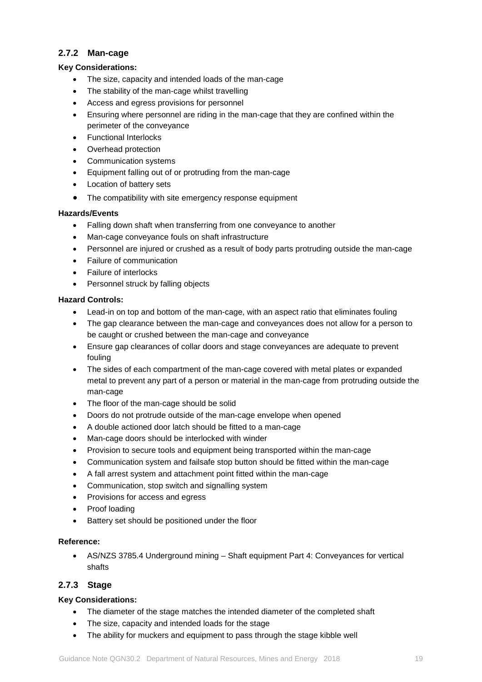### <span id="page-18-0"></span>**2.7.2 Man-cage**

### **Key Considerations:**

- The size, capacity and intended loads of the man-cage
- The stability of the man-cage whilst travelling
- Access and egress provisions for personnel
- Ensuring where personnel are riding in the man-cage that they are confined within the perimeter of the conveyance
- Functional Interlocks
- Overhead protection
- Communication systems
- Equipment falling out of or protruding from the man-cage
- Location of battery sets
- The compatibility with site emergency response equipment

### **Hazards/Events**

- Falling down shaft when transferring from one conveyance to another
- Man-cage conveyance fouls on shaft infrastructure
- Personnel are injured or crushed as a result of body parts protruding outside the man-cage
- Failure of communication
- Failure of interlocks
- Personnel struck by falling objects

### **Hazard Controls:**

- Lead-in on top and bottom of the man-cage, with an aspect ratio that eliminates fouling
- The gap clearance between the man-cage and conveyances does not allow for a person to be caught or crushed between the man-cage and conveyance
- Ensure gap clearances of collar doors and stage conveyances are adequate to prevent fouling
- The sides of each compartment of the man-cage covered with metal plates or expanded metal to prevent any part of a person or material in the man-cage from protruding outside the man-cage
- The floor of the man-cage should be solid
- Doors do not protrude outside of the man-cage envelope when opened
- A double actioned door latch should be fitted to a man-cage
- Man-cage doors should be interlocked with winder
- Provision to secure tools and equipment being transported within the man-cage
- Communication system and failsafe stop button should be fitted within the man-cage
- A fall arrest system and attachment point fitted within the man-cage
- Communication, stop switch and signalling system
- Provisions for access and egress
- Proof loading
- Battery set should be positioned under the floor

### **Reference:**

• AS/NZS 3785.4 Underground mining – Shaft equipment Part 4: Conveyances for vertical shafts

### <span id="page-18-1"></span>**2.7.3 Stage**

### **Key Considerations:**

- The diameter of the stage matches the intended diameter of the completed shaft
- The size, capacity and intended loads for the stage
- The ability for muckers and equipment to pass through the stage kibble well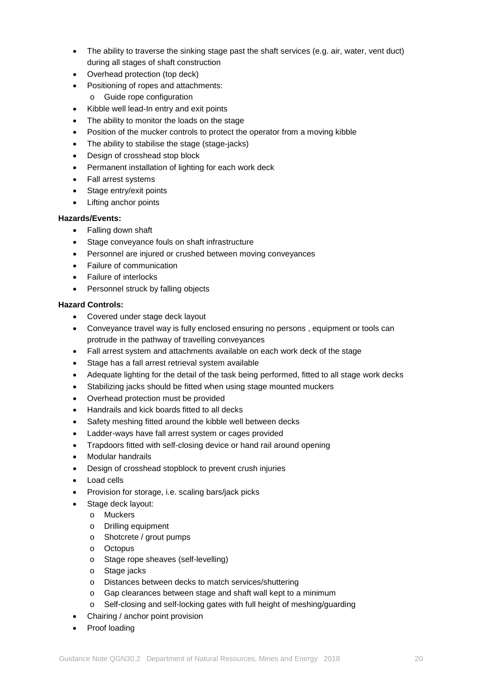- The ability to traverse the sinking stage past the shaft services (e.g. air, water, vent duct) during all stages of shaft construction
- Overhead protection (top deck)
- Positioning of ropes and attachments:
	- o Guide rope configuration
- Kibble well lead-In entry and exit points
- The ability to monitor the loads on the stage
- Position of the mucker controls to protect the operator from a moving kibble
- The ability to stabilise the stage (stage-jacks)
- Design of crosshead stop block
- Permanent installation of lighting for each work deck
- Fall arrest systems
- Stage entry/exit points
- Lifting anchor points

- Falling down shaft
- Stage conveyance fouls on shaft infrastructure
- Personnel are injured or crushed between moving conveyances
- Failure of communication
- Failure of interlocks
- Personnel struck by falling objects

### **Hazard Controls:**

- Covered under stage deck layout
- Conveyance travel way is fully enclosed ensuring no persons , equipment or tools can protrude in the pathway of travelling conveyances
- Fall arrest system and attachments available on each work deck of the stage
- Stage has a fall arrest retrieval system available
- Adequate lighting for the detail of the task being performed, fitted to all stage work decks
- Stabilizing jacks should be fitted when using stage mounted muckers
- Overhead protection must be provided
- Handrails and kick boards fitted to all decks
- Safety meshing fitted around the kibble well between decks
- Ladder-ways have fall arrest system or cages provided
- Trapdoors fitted with self-closing device or hand rail around opening
- Modular handrails
- Design of crosshead stopblock to prevent crush injuries
- Load cells
- Provision for storage, i.e. scaling bars/jack picks
- Stage deck layout:
	- o Muckers
	- o Drilling equipment
	- o Shotcrete / grout pumps
	- o Octopus
	- o Stage rope sheaves (self-levelling)
	- o Stage jacks
	- o Distances between decks to match services/shuttering
	- o Gap clearances between stage and shaft wall kept to a minimum
	- o Self-closing and self-locking gates with full height of meshing/guarding
- Chairing / anchor point provision
- Proof loading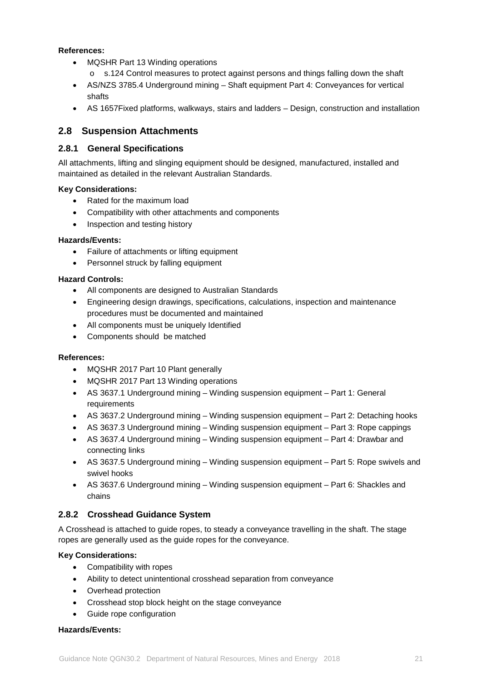### **References:**

- MQSHR Part 13 Winding operations
	- o s.124 Control measures to protect against persons and things falling down the shaft
- AS/NZS 3785.4 Underground mining Shaft equipment Part 4: Conveyances for vertical shafts
- AS 1657Fixed platforms, walkways, stairs and ladders Design, construction and installation

### <span id="page-20-0"></span>**2.8 Suspension Attachments**

### <span id="page-20-1"></span>**2.8.1 General Specifications**

All attachments, lifting and slinging equipment should be designed, manufactured, installed and maintained as detailed in the relevant Australian Standards.

### **Key Considerations:**

- Rated for the maximum load
- Compatibility with other attachments and components
- Inspection and testing history

### **Hazards/Events:**

- Failure of attachments or lifting equipment
- Personnel struck by falling equipment

### **Hazard Controls:**

- All components are designed to Australian Standards
- Engineering design drawings, specifications, calculations, inspection and maintenance procedures must be documented and maintained
- All components must be uniquely Identified
- Components should be matched

### **References:**

- MQSHR 2017 Part 10 Plant generally
- MQSHR 2017 Part 13 Winding operations
- AS 3637.1 Underground mining Winding suspension equipment Part 1: General requirements
- AS 3637.2 Underground mining Winding suspension equipment Part 2: Detaching hooks
- AS 3637.3 Underground mining Winding suspension equipment Part 3: Rope cappings
- AS 3637.4 Underground mining Winding suspension equipment Part 4: Drawbar and connecting links
- AS 3637.5 Underground mining Winding suspension equipment Part 5: Rope swivels and swivel hooks
- AS 3637.6 Underground mining Winding suspension equipment Part 6: Shackles and chains

### <span id="page-20-2"></span>**2.8.2 Crosshead Guidance System**

A Crosshead is attached to guide ropes, to steady a conveyance travelling in the shaft. The stage ropes are generally used as the guide ropes for the conveyance.

### **Key Considerations:**

- Compatibility with ropes
- Ability to detect unintentional crosshead separation from conveyance
- Overhead protection
- Crosshead stop block height on the stage conveyance
- Guide rope configuration

### **Hazards/Events:**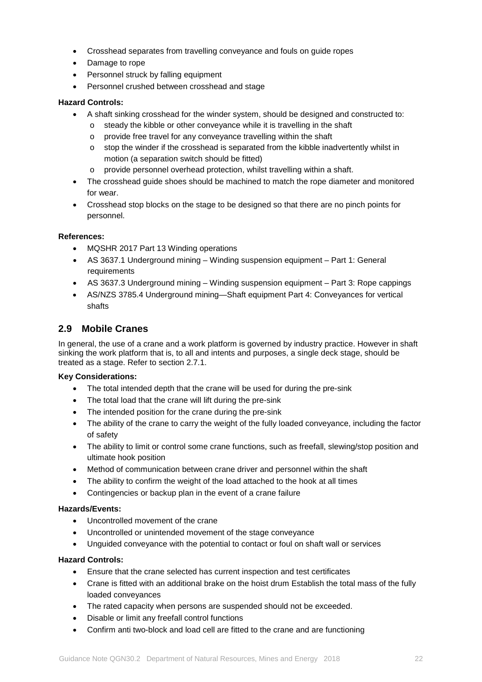- Crosshead separates from travelling conveyance and fouls on guide ropes
- Damage to rope
- Personnel struck by falling equipment
- Personnel crushed between crosshead and stage

### **Hazard Controls:**

- A shaft sinking crosshead for the winder system, should be designed and constructed to:
	- o steady the kibble or other conveyance while it is travelling in the shaft
	- o provide free travel for any conveyance travelling within the shaft
	- $\circ$  stop the winder if the crosshead is separated from the kibble inadvertently whilst in motion (a separation switch should be fitted)
	- o provide personnel overhead protection, whilst travelling within a shaft.
- The crosshead guide shoes should be machined to match the rope diameter and monitored for wear.
- Crosshead stop blocks on the stage to be designed so that there are no pinch points for personnel.

### **References:**

- MQSHR 2017 Part 13 Winding operations
- AS 3637.1 Underground mining Winding suspension equipment Part 1: General requirements
- AS 3637.3 Underground mining Winding suspension equipment Part 3: Rope cappings
- AS/NZS 3785.4 Underground mining—Shaft equipment Part 4: Conveyances for vertical shafts

### <span id="page-21-0"></span>**2.9 Mobile Cranes**

In general, the use of a crane and a work platform is governed by industry practice. However in shaft sinking the work platform that is, to all and intents and purposes, a single deck stage, should be treated as a stage. Refer to section 2.7.1.

#### **Key Considerations:**

- The total intended depth that the crane will be used for during the pre-sink
- The total load that the crane will lift during the pre-sink
- The intended position for the crane during the pre-sink
- The ability of the crane to carry the weight of the fully loaded conveyance, including the factor of safety
- The ability to limit or control some crane functions, such as freefall, slewing/stop position and ultimate hook position
- Method of communication between crane driver and personnel within the shaft
- The ability to confirm the weight of the load attached to the hook at all times
- Contingencies or backup plan in the event of a crane failure

### **Hazards/Events:**

- Uncontrolled movement of the crane
- Uncontrolled or unintended movement of the stage conveyance
- Unguided conveyance with the potential to contact or foul on shaft wall or services

#### **Hazard Controls:**

- Ensure that the crane selected has current inspection and test certificates
- Crane is fitted with an additional brake on the hoist drum Establish the total mass of the fully loaded conveyances
- The rated capacity when persons are suspended should not be exceeded.
- Disable or limit any freefall control functions
- Confirm anti two-block and load cell are fitted to the crane and are functioning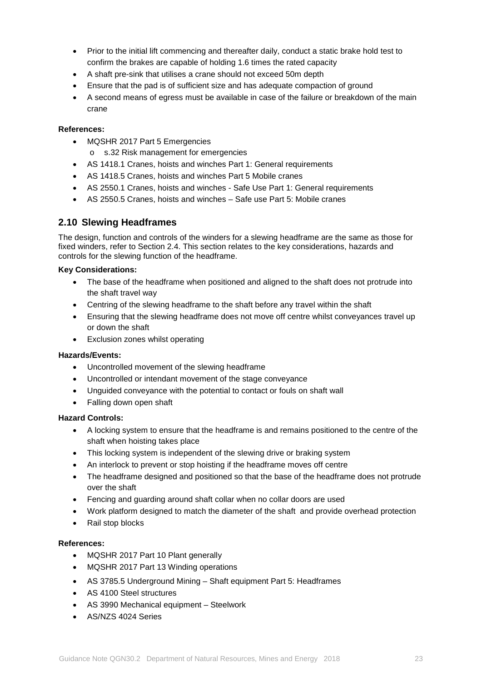- Prior to the initial lift commencing and thereafter daily, conduct a static brake hold test to confirm the brakes are capable of holding 1.6 times the rated capacity
- A shaft pre-sink that utilises a crane should not exceed 50m depth
- Ensure that the pad is of sufficient size and has adequate compaction of ground
- A second means of egress must be available in case of the failure or breakdown of the main crane

#### **References:**

- MQSHR 2017 Part 5 Emergencies
	- o s.32 Risk management for emergencies
- AS 1418.1 Cranes, hoists and winches Part 1: General requirements
- AS 1418.5 Cranes, hoists and winches Part 5 Mobile cranes
- AS 2550.1 Cranes, hoists and winches Safe Use Part 1: General requirements
- AS 2550.5 Cranes, hoists and winches Safe use Part 5: Mobile cranes

### <span id="page-22-0"></span>**2.10 Slewing Headframes**

The design, function and controls of the winders for a slewing headframe are the same as those for fixed winders, refer to Section 2.4. This section relates to the key considerations, hazards and controls for the slewing function of the headframe.

### **Key Considerations:**

- The base of the headframe when positioned and aligned to the shaft does not protrude into the shaft travel way
- Centring of the slewing headframe to the shaft before any travel within the shaft
- Ensuring that the slewing headframe does not move off centre whilst conveyances travel up or down the shaft
- Exclusion zones whilst operating

### **Hazards/Events:**

- Uncontrolled movement of the slewing headframe
- Uncontrolled or intendant movement of the stage conveyance
- Unguided conveyance with the potential to contact or fouls on shaft wall
- Falling down open shaft

#### **Hazard Controls:**

- A locking system to ensure that the headframe is and remains positioned to the centre of the shaft when hoisting takes place
- This locking system is independent of the slewing drive or braking system
- An interlock to prevent or stop hoisting if the headframe moves off centre
- The headframe designed and positioned so that the base of the headframe does not protrude over the shaft
- Fencing and guarding around shaft collar when no collar doors are used
- Work platform designed to match the diameter of the shaft and provide overhead protection
- Rail stop blocks

- MQSHR 2017 Part 10 Plant generally
- MQSHR 2017 Part 13 Winding operations
- AS 3785.5 Underground Mining Shaft equipment Part 5: Headframes
- AS 4100 Steel structures
- AS 3990 Mechanical equipment Steelwork
- AS/NZS 4024 Series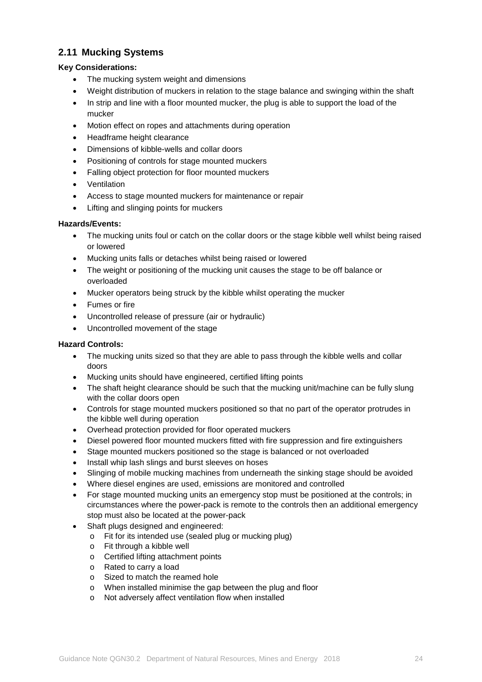### <span id="page-23-0"></span>**2.11 Mucking Systems**

### **Key Considerations:**

- The mucking system weight and dimensions
- Weight distribution of muckers in relation to the stage balance and swinging within the shaft
- In strip and line with a floor mounted mucker, the plug is able to support the load of the mucker
- Motion effect on ropes and attachments during operation
- Headframe height clearance
- Dimensions of kibble-wells and collar doors
- Positioning of controls for stage mounted muckers
- Falling object protection for floor mounted muckers
- Ventilation
- Access to stage mounted muckers for maintenance or repair
- Lifting and slinging points for muckers

### **Hazards/Events:**

- The mucking units foul or catch on the collar doors or the stage kibble well whilst being raised or lowered
- Mucking units falls or detaches whilst being raised or lowered
- The weight or positioning of the mucking unit causes the stage to be off balance or overloaded
- Mucker operators being struck by the kibble whilst operating the mucker
- Fumes or fire
- Uncontrolled release of pressure (air or hydraulic)
- Uncontrolled movement of the stage

### **Hazard Controls:**

- The mucking units sized so that they are able to pass through the kibble wells and collar doors
- Mucking units should have engineered, certified lifting points
- The shaft height clearance should be such that the mucking unit/machine can be fully slung with the collar doors open
- Controls for stage mounted muckers positioned so that no part of the operator protrudes in the kibble well during operation
- Overhead protection provided for floor operated muckers
- Diesel powered floor mounted muckers fitted with fire suppression and fire extinguishers
- Stage mounted muckers positioned so the stage is balanced or not overloaded
- Install whip lash slings and burst sleeves on hoses
- Slinging of mobile mucking machines from underneath the sinking stage should be avoided
- Where diesel engines are used, emissions are monitored and controlled
- For stage mounted mucking units an emergency stop must be positioned at the controls; in circumstances where the power-pack is remote to the controls then an additional emergency stop must also be located at the power-pack
- Shaft plugs designed and engineered:
	- o Fit for its intended use (sealed plug or mucking plug)
	- o Fit through a kibble well
	- o Certified lifting attachment points
	- o Rated to carry a load
	- o Sized to match the reamed hole
	- o When installed minimise the gap between the plug and floor
	- o Not adversely affect ventilation flow when installed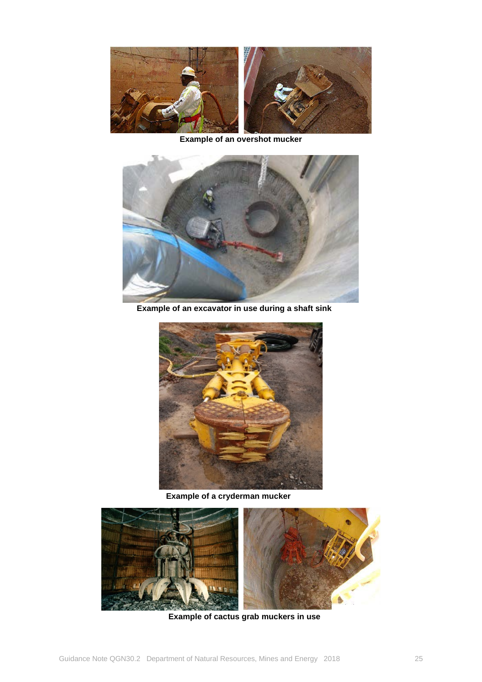

**Example of an overshot mucker**



 **Example of an excavator in use during a shaft sink**



 **Example of a cryderman mucker**



 **Example of cactus grab muckers in use**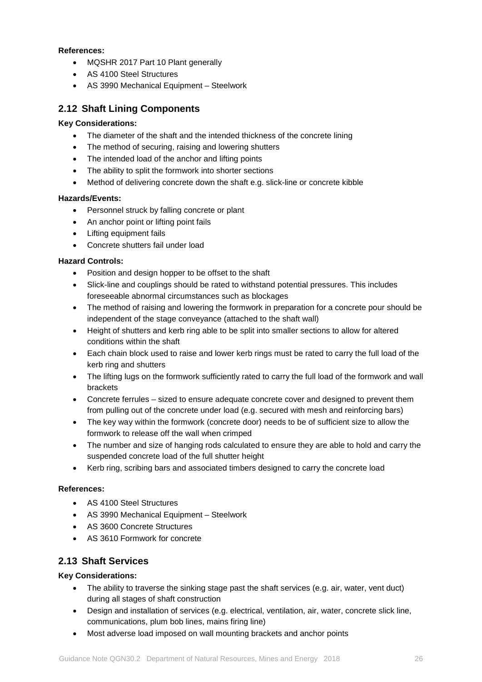### **References:**

- MQSHR 2017 Part 10 Plant generally
- AS 4100 Steel Structures
- AS 3990 Mechanical Equipment Steelwork

### <span id="page-25-0"></span>**2.12 Shaft Lining Components**

### **Key Considerations:**

- The diameter of the shaft and the intended thickness of the concrete lining
- The method of securing, raising and lowering shutters
- The intended load of the anchor and lifting points
- The ability to split the formwork into shorter sections
- Method of delivering concrete down the shaft e.g. slick-line or concrete kibble

### **Hazards/Events:**

- Personnel struck by falling concrete or plant
- An anchor point or lifting point fails
- Lifting equipment fails
- Concrete shutters fail under load

### **Hazard Controls:**

- Position and design hopper to be offset to the shaft
- Slick-line and couplings should be rated to withstand potential pressures. This includes foreseeable abnormal circumstances such as blockages
- The method of raising and lowering the formwork in preparation for a concrete pour should be independent of the stage conveyance (attached to the shaft wall)
- Height of shutters and kerb ring able to be split into smaller sections to allow for altered conditions within the shaft
- Each chain block used to raise and lower kerb rings must be rated to carry the full load of the kerb ring and shutters
- The lifting lugs on the formwork sufficiently rated to carry the full load of the formwork and wall brackets
- Concrete ferrules sized to ensure adequate concrete cover and designed to prevent them from pulling out of the concrete under load (e.g. secured with mesh and reinforcing bars)
- The key way within the formwork (concrete door) needs to be of sufficient size to allow the formwork to release off the wall when crimped
- The number and size of hanging rods calculated to ensure they are able to hold and carry the suspended concrete load of the full shutter height
- Kerb ring, scribing bars and associated timbers designed to carry the concrete load

### **References:**

- AS 4100 Steel Structures
- AS 3990 Mechanical Equipment Steelwork
- AS 3600 Concrete Structures
- AS 3610 Formwork for concrete

### <span id="page-25-1"></span>**2.13 Shaft Services**

### **Key Considerations:**

- The ability to traverse the sinking stage past the shaft services (e.g. air, water, vent duct) during all stages of shaft construction
- Design and installation of services (e.g. electrical, ventilation, air, water, concrete slick line, communications, plum bob lines, mains firing line)
- Most adverse load imposed on wall mounting brackets and anchor points